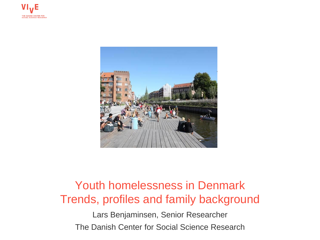



### Youth homelessness in Denmark Trends, profiles and family background

Lars Benjaminsen, Senior Researcher The Danish Center for Social Science Research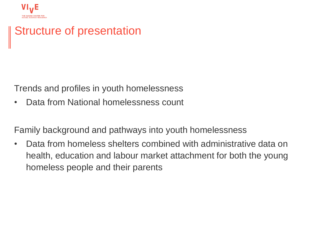

### Structure of presentation

Trends and profiles in youth homelessness

• Data from National homelessness count

Family background and pathways into youth homelessness

• Data from homeless shelters combined with administrative data on health, education and labour market attachment for both the young homeless people and their parents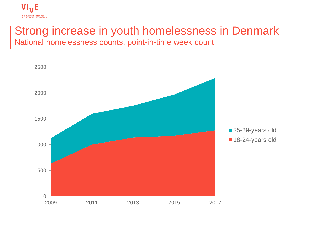

# Strong increase in youth homelessness in Denmark

National homelessness counts, point-in-time week count

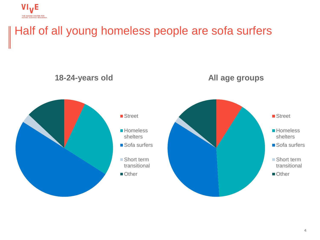

## Half of all young homeless people are sofa surfers

#### **18-24-years old**





#### ■ Street

- **Homeless** shelters
- Sofa surfers
- Short term transitional
- Other

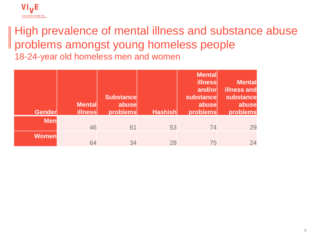

### High prevalence of mental illness and substance abuse problems amongst young homeless people 18-24-year old homeless men and women

| <b>Gender</b> | <b>Mental</b><br><b>illness</b> | <b>Substance</b><br>abuse<br>problems | <b>Hashish</b> | <b>Mental</b><br><b>illness</b><br>and/or<br>substance<br>abuse<br>problems | <b>Mental</b><br>illness and<br>substance<br>abuse<br>problems |
|---------------|---------------------------------|---------------------------------------|----------------|-----------------------------------------------------------------------------|----------------------------------------------------------------|
| <b>Men</b>    | 46                              | 61                                    | 53             | 74                                                                          | 29                                                             |
| <b>Women</b>  | 64                              | 34                                    | 28             | 75                                                                          |                                                                |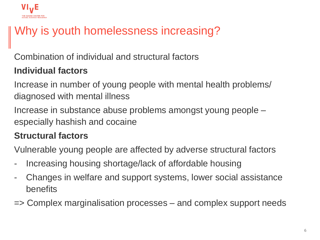

## Why is youth homelessness increasing?

Combination of individual and structural factors

### **Individual factors**

Increase in number of young people with mental health problems/ diagnosed with mental illness

Increase in substance abuse problems amongst young people – especially hashish and cocaine

### **Structural factors**

Vulnerable young people are affected by adverse structural factors

- Increasing housing shortage/lack of affordable housing
- Changes in welfare and support systems, lower social assistance benefits
- => Complex marginalisation processes and complex support needs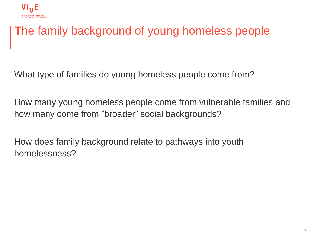

## The family background of young homeless people

What type of families do young homeless people come from?

How many young homeless people come from vulnerable families and how many come from "broader" social backgrounds?

How does family background relate to pathways into youth homelessness?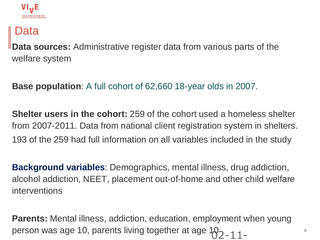

### Data

**Data sources:** Administrative register data from various parts of the welfare system

**Base population**: A full cohort of 62,660 18-year olds in 2007.

**Shelter users in the cohort:** 259 of the cohort used a homeless shelter from 2007-2011. Data from national client registration system in shelters. 193 of the 259 had full information on all variables included in the study

**Background variables**: Demographics, mental illness, drug addiction, alcohol addiction, NEET, placement out-of-home and other child welfare interventions

**Parents:** Mental illness, addiction, education, employment when young person was age 10, parents living together at age 10<sub>2-11-</sub>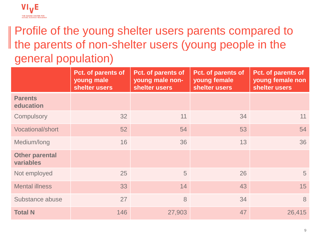#### **VI<sub>V</sub>E** THE DANISH CENTER FOR<br>SOCIAL SCIENCE RESEARCH

## Profile of the young shelter users parents compared to If the parents of non-shelter users (young people in the general population)

|                                    | Pct. of parents of<br>young male<br>shelter users | Pct. of parents of<br>young male non-<br>shelter users | Pct. of parents of<br>young female<br>shelter users | Pct. of parents of<br>young female non<br>shelter users |
|------------------------------------|---------------------------------------------------|--------------------------------------------------------|-----------------------------------------------------|---------------------------------------------------------|
| <b>Parents</b><br>education        |                                                   |                                                        |                                                     |                                                         |
| Compulsory                         | 32                                                | 11                                                     | 34                                                  | 11                                                      |
| <b>Vocational/short</b>            | 52                                                | 54                                                     | 53                                                  | 54                                                      |
| Medium/long                        | 16                                                | 36                                                     | 13                                                  | 36                                                      |
| <b>Other parental</b><br>variables |                                                   |                                                        |                                                     |                                                         |
| Not employed                       | 25                                                | 5                                                      | 26                                                  | 5                                                       |
| <b>Mental illness</b>              | 33                                                | 14                                                     | 43                                                  | 15                                                      |
| Substance abuse                    | 27                                                | 8                                                      | 34                                                  | 8                                                       |
| <b>Total N</b>                     | 146                                               | 27,903                                                 | 47                                                  | 26,415                                                  |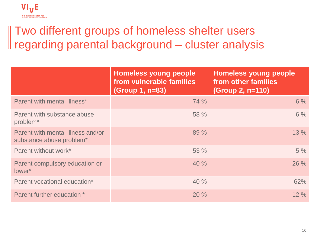

## Two different groups of homeless shelter users regarding parental background – cluster analysis

|                                                               | <b>Homeless young people</b><br>from vulnerable families<br>(Group 1, n=83) | <b>Homeless young people</b><br>from other families<br>(Group 2, n=110) |
|---------------------------------------------------------------|-----------------------------------------------------------------------------|-------------------------------------------------------------------------|
| Parent with mental illness*                                   | 74 %                                                                        | 6%                                                                      |
| Parent with substance abuse<br>problem <sup>*</sup>           | 58 %                                                                        | 6%                                                                      |
| Parent with mental illness and/or<br>substance abuse problem* | 89 %                                                                        | 13%                                                                     |
| Parent without work*                                          | 53 %                                                                        | 5%                                                                      |
| Parent compulsory education or<br>lower*                      | 40%                                                                         | 26 %                                                                    |
| Parent vocational education*                                  | 40%                                                                         | 62%                                                                     |
| Parent further education *                                    | 20%                                                                         | 12%                                                                     |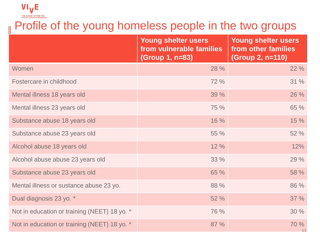

# Profile of the young homeless people in the two groups

|                                              | Young shelter users<br>from vulnerable families<br>(Group 1, n=83) | <b>Young shelter users</b><br>from other families<br>(Group 2, n=110) |
|----------------------------------------------|--------------------------------------------------------------------|-----------------------------------------------------------------------|
| Women                                        | 28 %                                                               | 22 %                                                                  |
| Fostercare in childhood                      | 72 %                                                               | 31 %                                                                  |
| Mental illness 18 years old                  | 39 %                                                               | 26 %                                                                  |
| Mental illness 23 years old                  | 75 %                                                               | 65 %                                                                  |
| Substance abuse 18 years old                 | 16 %                                                               | 15 %                                                                  |
| Substance abuse 23 years old                 | 55 %                                                               | 52 %                                                                  |
| Alcohol abuse 18 years old                   | 12 %                                                               | 12%                                                                   |
| Alcohol abuse abuse 23 years old             | 33 %                                                               | 29 %                                                                  |
| Substance abuse 23 years old                 | 65 %                                                               | 58 %                                                                  |
| Mental illness or sustance abuse 23 yo.      | 88 %                                                               | 86 %                                                                  |
| Dual diagnosis 23 yo. *                      | 52 %                                                               | 37 %                                                                  |
| Not in education or training (NEET) 18 yo. * | 76 %                                                               | 30 %                                                                  |
| Not in education or training (NEET) 18 yo. * | 87 %                                                               | 70 %<br>11                                                            |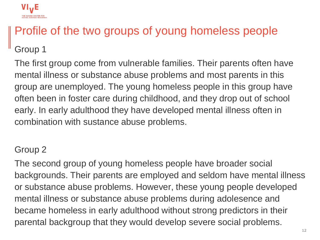

## Profile of the two groups of young homeless people

Group 1

The first group come from vulnerable families. Their parents often have mental illness or substance abuse problems and most parents in this group are unemployed. The young homeless people in this group have often been in foster care during childhood, and they drop out of school early. In early adulthood they have developed mental illness often in combination with sustance abuse problems.

### Group 2

The second group of young homeless people have broader social backgrounds. Their parents are employed and seldom have mental illness or substance abuse problems. However, these young people developed mental illness or substance abuse problems during adolesence and became homeless in early adulthood without strong predictors in their parental backgroup that they would develop severe social problems.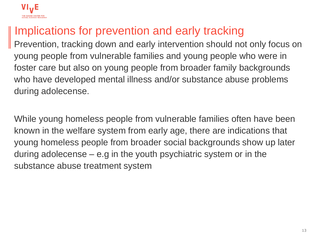

## Implications for prevention and early tracking

Prevention, tracking down and early intervention should not only focus on young people from vulnerable families and young people who were in foster care but also on young people from broader family backgrounds who have developed mental illness and/or substance abuse problems during adolecense.

While young homeless people from vulnerable families often have been known in the welfare system from early age, there are indications that young homeless people from broader social backgrounds show up later during adolecense – e.g in the youth psychiatric system or in the substance abuse treatment system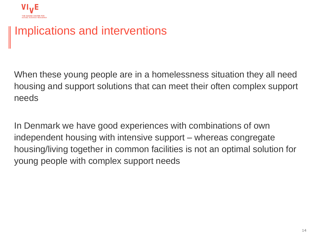

### Implications and interventions

When these young people are in a homelessness situation they all need housing and support solutions that can meet their often complex support needs

In Denmark we have good experiences with combinations of own independent housing with intensive support – whereas congregate housing/living together in common facilities is not an optimal solution for young people with complex support needs